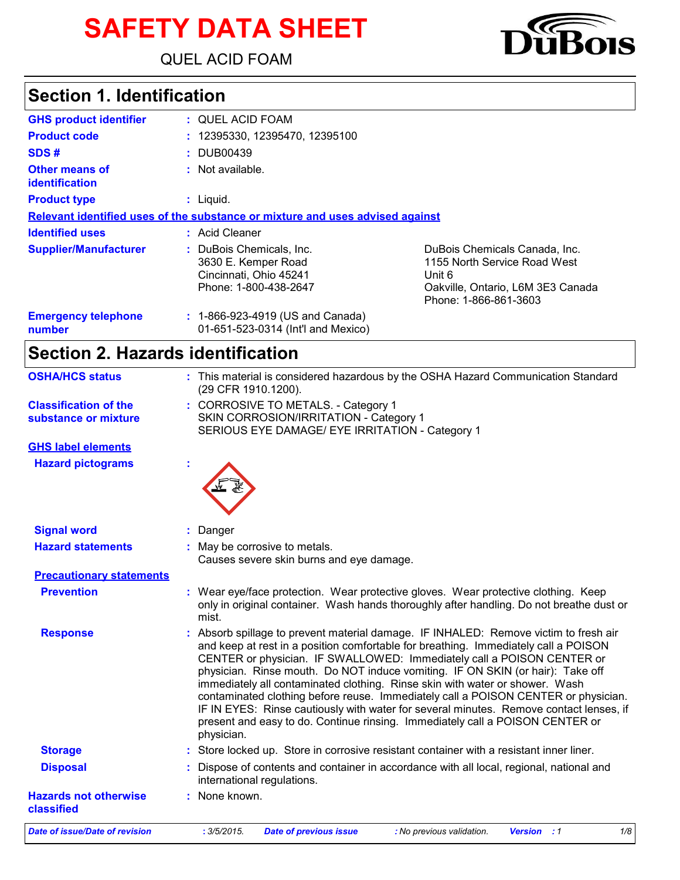# **SAFETY DATA SHEET**

QUEL ACID FOAM

## **Section 1. Identification**

| <b>GHS product identifier</b>                  | : QUEL ACID FOAM                                                                                   |                                                                                                                                       |
|------------------------------------------------|----------------------------------------------------------------------------------------------------|---------------------------------------------------------------------------------------------------------------------------------------|
| <b>Product code</b>                            | : 12395330, 12395470, 12395100                                                                     |                                                                                                                                       |
| SDS#                                           | : DUB00439                                                                                         |                                                                                                                                       |
| <b>Other means of</b><br><b>identification</b> | : Not available.                                                                                   |                                                                                                                                       |
| <b>Product type</b>                            | $:$ Liquid.                                                                                        |                                                                                                                                       |
|                                                | Relevant identified uses of the substance or mixture and uses advised against                      |                                                                                                                                       |
| <b>Identified uses</b>                         | : Acid Cleaner                                                                                     |                                                                                                                                       |
| <b>Supplier/Manufacturer</b>                   | : DuBois Chemicals, Inc.<br>3630 E. Kemper Road<br>Cincinnati, Ohio 45241<br>Phone: 1-800-438-2647 | DuBois Chemicals Canada, Inc.<br>1155 North Service Road West<br>Unit 6<br>Oakville, Ontario, L6M 3E3 Canada<br>Phone: 1-866-861-3603 |
| <b>Emergency telephone</b><br>number           | : 1-866-923-4919 (US and Canada)<br>01-651-523-0314 (Int'l and Mexico)                             |                                                                                                                                       |

# **Section 2. Hazards identification**

| <b>OSHA/HCS status</b>                     | : This material is considered hazardous by the OSHA Hazard Communication Standard<br>(29 CFR 1910.1200).                                                                                                                                                                                                                                                                                                                                                                                                                                                                                                                                                                                               |
|--------------------------------------------|--------------------------------------------------------------------------------------------------------------------------------------------------------------------------------------------------------------------------------------------------------------------------------------------------------------------------------------------------------------------------------------------------------------------------------------------------------------------------------------------------------------------------------------------------------------------------------------------------------------------------------------------------------------------------------------------------------|
| <b>Classification of the</b>               | : CORROSIVE TO METALS. - Category 1                                                                                                                                                                                                                                                                                                                                                                                                                                                                                                                                                                                                                                                                    |
| substance or mixture                       | SKIN CORROSION/IRRITATION - Category 1                                                                                                                                                                                                                                                                                                                                                                                                                                                                                                                                                                                                                                                                 |
|                                            | SERIOUS EYE DAMAGE/ EYE IRRITATION - Category 1                                                                                                                                                                                                                                                                                                                                                                                                                                                                                                                                                                                                                                                        |
| <b>GHS label elements</b>                  |                                                                                                                                                                                                                                                                                                                                                                                                                                                                                                                                                                                                                                                                                                        |
| <b>Hazard pictograms</b>                   |                                                                                                                                                                                                                                                                                                                                                                                                                                                                                                                                                                                                                                                                                                        |
|                                            |                                                                                                                                                                                                                                                                                                                                                                                                                                                                                                                                                                                                                                                                                                        |
| <b>Signal word</b>                         | : Danger                                                                                                                                                                                                                                                                                                                                                                                                                                                                                                                                                                                                                                                                                               |
| <b>Hazard statements</b>                   | : May be corrosive to metals.                                                                                                                                                                                                                                                                                                                                                                                                                                                                                                                                                                                                                                                                          |
|                                            | Causes severe skin burns and eye damage.                                                                                                                                                                                                                                                                                                                                                                                                                                                                                                                                                                                                                                                               |
| <b>Precautionary statements</b>            |                                                                                                                                                                                                                                                                                                                                                                                                                                                                                                                                                                                                                                                                                                        |
| <b>Prevention</b>                          | : Wear eye/face protection. Wear protective gloves. Wear protective clothing. Keep<br>only in original container. Wash hands thoroughly after handling. Do not breathe dust or<br>mist.                                                                                                                                                                                                                                                                                                                                                                                                                                                                                                                |
| <b>Response</b>                            | : Absorb spillage to prevent material damage. IF INHALED: Remove victim to fresh air<br>and keep at rest in a position comfortable for breathing. Immediately call a POISON<br>CENTER or physician. IF SWALLOWED: Immediately call a POISON CENTER or<br>physician. Rinse mouth. Do NOT induce vomiting. IF ON SKIN (or hair): Take off<br>immediately all contaminated clothing. Rinse skin with water or shower. Wash<br>contaminated clothing before reuse. Immediately call a POISON CENTER or physician.<br>IF IN EYES: Rinse cautiously with water for several minutes. Remove contact lenses, if<br>present and easy to do. Continue rinsing. Immediately call a POISON CENTER or<br>physician. |
| <b>Storage</b>                             | : Store locked up. Store in corrosive resistant container with a resistant inner liner.                                                                                                                                                                                                                                                                                                                                                                                                                                                                                                                                                                                                                |
| <b>Disposal</b>                            | : Dispose of contents and container in accordance with all local, regional, national and<br>international regulations.                                                                                                                                                                                                                                                                                                                                                                                                                                                                                                                                                                                 |
| <b>Hazards not otherwise</b><br>classified | : None known.                                                                                                                                                                                                                                                                                                                                                                                                                                                                                                                                                                                                                                                                                          |
| Date of issue/Date of revision             | : 3/5/2015.<br>1/8<br><b>Date of previous issue</b><br>: No previous validation.<br><b>Version</b> : 1                                                                                                                                                                                                                                                                                                                                                                                                                                                                                                                                                                                                 |

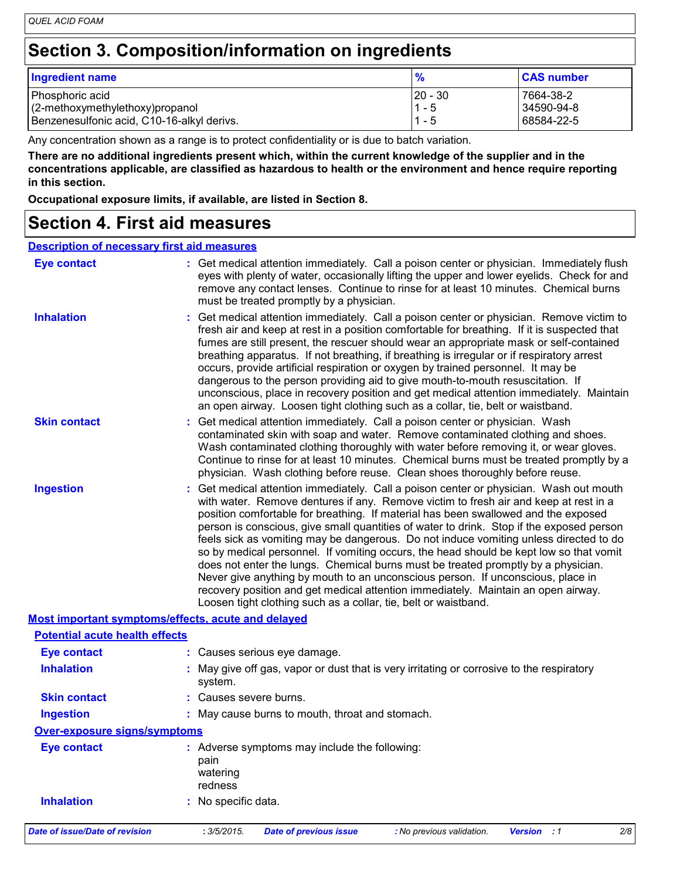### **Section 3. Composition/information on ingredients**

| <b>Ingredient name</b>                     | $\frac{9}{6}$ | <b>CAS number</b> |
|--------------------------------------------|---------------|-------------------|
| Phosphoric acid                            | $ 20 - 30$    | 7664-38-2         |
| $(2$ -methoxymethylethoxy) propanol        | $1 - 5$       | 34590-94-8        |
| Benzenesulfonic acid, C10-16-alkyl derivs. | 1 - 5         | 68584-22-5        |

Any concentration shown as a range is to protect confidentiality or is due to batch variation.

**There are no additional ingredients present which, within the current knowledge of the supplier and in the concentrations applicable, are classified as hazardous to health or the environment and hence require reporting in this section.**

**Occupational exposure limits, if available, are listed in Section 8.**

### **Section 4. First aid measures**

#### **Description of necessary first aid measures**

| <b>Eye contact</b>                                 | : Get medical attention immediately. Call a poison center or physician. Immediately flush<br>eyes with plenty of water, occasionally lifting the upper and lower eyelids. Check for and<br>remove any contact lenses. Continue to rinse for at least 10 minutes. Chemical burns<br>must be treated promptly by a physician.                                                                                                                                                                                                                                                                                                                                                                                                                                                                                                                                                         |
|----------------------------------------------------|-------------------------------------------------------------------------------------------------------------------------------------------------------------------------------------------------------------------------------------------------------------------------------------------------------------------------------------------------------------------------------------------------------------------------------------------------------------------------------------------------------------------------------------------------------------------------------------------------------------------------------------------------------------------------------------------------------------------------------------------------------------------------------------------------------------------------------------------------------------------------------------|
| <b>Inhalation</b>                                  | : Get medical attention immediately. Call a poison center or physician. Remove victim to<br>fresh air and keep at rest in a position comfortable for breathing. If it is suspected that<br>fumes are still present, the rescuer should wear an appropriate mask or self-contained<br>breathing apparatus. If not breathing, if breathing is irregular or if respiratory arrest<br>occurs, provide artificial respiration or oxygen by trained personnel. It may be<br>dangerous to the person providing aid to give mouth-to-mouth resuscitation. If<br>unconscious, place in recovery position and get medical attention immediately. Maintain<br>an open airway. Loosen tight clothing such as a collar, tie, belt or waistband.                                                                                                                                                  |
| <b>Skin contact</b>                                | : Get medical attention immediately. Call a poison center or physician. Wash<br>contaminated skin with soap and water. Remove contaminated clothing and shoes.<br>Wash contaminated clothing thoroughly with water before removing it, or wear gloves.<br>Continue to rinse for at least 10 minutes. Chemical burns must be treated promptly by a<br>physician. Wash clothing before reuse. Clean shoes thoroughly before reuse.                                                                                                                                                                                                                                                                                                                                                                                                                                                    |
| <b>Ingestion</b>                                   | : Get medical attention immediately. Call a poison center or physician. Wash out mouth<br>with water. Remove dentures if any. Remove victim to fresh air and keep at rest in a<br>position comfortable for breathing. If material has been swallowed and the exposed<br>person is conscious, give small quantities of water to drink. Stop if the exposed person<br>feels sick as vomiting may be dangerous. Do not induce vomiting unless directed to do<br>so by medical personnel. If vomiting occurs, the head should be kept low so that vomit<br>does not enter the lungs. Chemical burns must be treated promptly by a physician.<br>Never give anything by mouth to an unconscious person. If unconscious, place in<br>recovery position and get medical attention immediately. Maintain an open airway.<br>Loosen tight clothing such as a collar, tie, belt or waistband. |
| Most important symptoms/effects, acute and delayed |                                                                                                                                                                                                                                                                                                                                                                                                                                                                                                                                                                                                                                                                                                                                                                                                                                                                                     |
| <b>Potential acute health effects</b>              |                                                                                                                                                                                                                                                                                                                                                                                                                                                                                                                                                                                                                                                                                                                                                                                                                                                                                     |
| <b>Eye contact</b>                                 | : Causes serious eye damage.                                                                                                                                                                                                                                                                                                                                                                                                                                                                                                                                                                                                                                                                                                                                                                                                                                                        |
| <b>Inhalation</b>                                  | : May give off gas, vapor or dust that is very irritating or corrosive to the respiratory<br>system.                                                                                                                                                                                                                                                                                                                                                                                                                                                                                                                                                                                                                                                                                                                                                                                |
| <b>Skin contact</b>                                | : Causes severe burns.                                                                                                                                                                                                                                                                                                                                                                                                                                                                                                                                                                                                                                                                                                                                                                                                                                                              |
| <b>Ingestion</b>                                   | : May cause burns to mouth, throat and stomach.                                                                                                                                                                                                                                                                                                                                                                                                                                                                                                                                                                                                                                                                                                                                                                                                                                     |
| <b>Over-exposure signs/symptoms</b>                |                                                                                                                                                                                                                                                                                                                                                                                                                                                                                                                                                                                                                                                                                                                                                                                                                                                                                     |
| <b>Eye contact</b>                                 | : Adverse symptoms may include the following:<br>pain<br>watering<br>redness                                                                                                                                                                                                                                                                                                                                                                                                                                                                                                                                                                                                                                                                                                                                                                                                        |
| <b>Inhalation</b>                                  | : No specific data.                                                                                                                                                                                                                                                                                                                                                                                                                                                                                                                                                                                                                                                                                                                                                                                                                                                                 |
| Date of issue/Date of revision                     | : 3/5/2015.<br>2/8<br><b>Date of previous issue</b><br><b>Version</b><br>$\cdot$ :1<br>: No previous validation.                                                                                                                                                                                                                                                                                                                                                                                                                                                                                                                                                                                                                                                                                                                                                                    |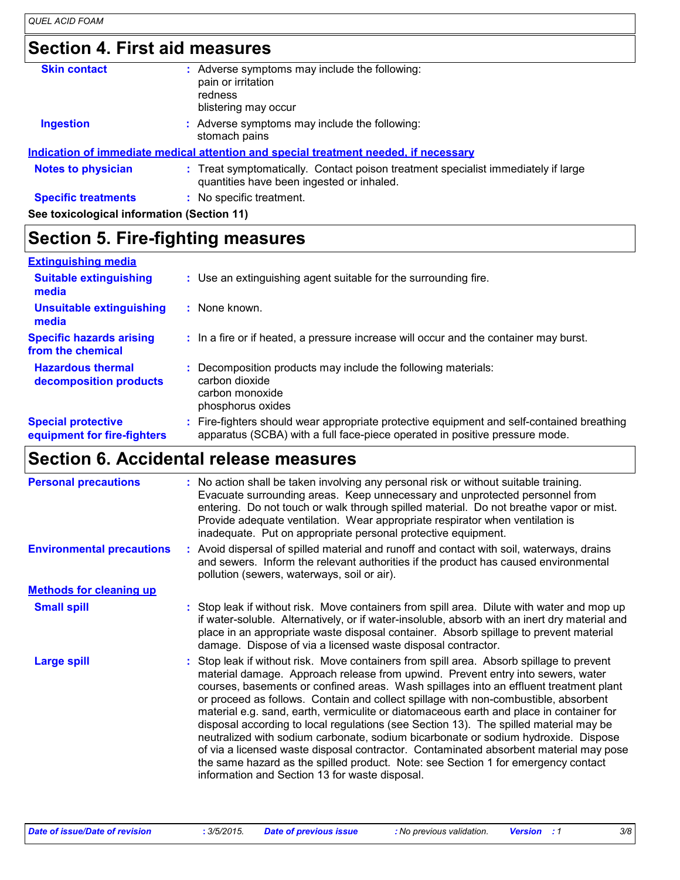## **Section 4. First aid measures**

| <b>Skin contact</b>                        | : Adverse symptoms may include the following:<br>pain or irritation<br>redness<br>blistering may occur                         |
|--------------------------------------------|--------------------------------------------------------------------------------------------------------------------------------|
| <b>Ingestion</b>                           | : Adverse symptoms may include the following:<br>stomach pains                                                                 |
|                                            | Indication of immediate medical attention and special treatment needed, if necessary                                           |
| <b>Notes to physician</b>                  | : Treat symptomatically. Contact poison treatment specialist immediately if large<br>quantities have been ingested or inhaled. |
| <b>Specific treatments</b>                 | : No specific treatment.                                                                                                       |
| See toxicological information (Section 11) |                                                                                                                                |
|                                            |                                                                                                                                |

### **Section 5. Fire-fighting measures**

| <b>Extinguishing media</b>                               |                                                                                                                                                                        |
|----------------------------------------------------------|------------------------------------------------------------------------------------------------------------------------------------------------------------------------|
| <b>Suitable extinguishing</b><br>media                   | : Use an extinguishing agent suitable for the surrounding fire.                                                                                                        |
| <b>Unsuitable extinguishing</b><br>media                 | : None known.                                                                                                                                                          |
| <b>Specific hazards arising</b><br>from the chemical     | : In a fire or if heated, a pressure increase will occur and the container may burst.                                                                                  |
| <b>Hazardous thermal</b><br>decomposition products       | Decomposition products may include the following materials:<br>carbon dioxide<br>carbon monoxide<br>phosphorus oxides                                                  |
| <b>Special protective</b><br>equipment for fire-fighters | Fire-fighters should wear appropriate protective equipment and self-contained breathing<br>apparatus (SCBA) with a full face-piece operated in positive pressure mode. |

## **Section 6. Accidental release measures**

| <b>Personal precautions</b>      | : No action shall be taken involving any personal risk or without suitable training.<br>Evacuate surrounding areas. Keep unnecessary and unprotected personnel from<br>entering. Do not touch or walk through spilled material. Do not breathe vapor or mist.<br>Provide adequate ventilation. Wear appropriate respirator when ventilation is<br>inadequate. Put on appropriate personal protective equipment.                                                                                                                                                                                                                                                                                                                                                                                                                                                       |
|----------------------------------|-----------------------------------------------------------------------------------------------------------------------------------------------------------------------------------------------------------------------------------------------------------------------------------------------------------------------------------------------------------------------------------------------------------------------------------------------------------------------------------------------------------------------------------------------------------------------------------------------------------------------------------------------------------------------------------------------------------------------------------------------------------------------------------------------------------------------------------------------------------------------|
| <b>Environmental precautions</b> | : Avoid dispersal of spilled material and runoff and contact with soil, waterways, drains<br>and sewers. Inform the relevant authorities if the product has caused environmental<br>pollution (sewers, waterways, soil or air).                                                                                                                                                                                                                                                                                                                                                                                                                                                                                                                                                                                                                                       |
| <b>Methods for cleaning up</b>   |                                                                                                                                                                                                                                                                                                                                                                                                                                                                                                                                                                                                                                                                                                                                                                                                                                                                       |
| <b>Small spill</b>               | : Stop leak if without risk. Move containers from spill area. Dilute with water and mop up<br>if water-soluble. Alternatively, or if water-insoluble, absorb with an inert dry material and<br>place in an appropriate waste disposal container. Absorb spillage to prevent material<br>damage. Dispose of via a licensed waste disposal contractor.                                                                                                                                                                                                                                                                                                                                                                                                                                                                                                                  |
| <b>Large spill</b>               | : Stop leak if without risk. Move containers from spill area. Absorb spillage to prevent<br>material damage. Approach release from upwind. Prevent entry into sewers, water<br>courses, basements or confined areas. Wash spillages into an effluent treatment plant<br>or proceed as follows. Contain and collect spillage with non-combustible, absorbent<br>material e.g. sand, earth, vermiculite or diatomaceous earth and place in container for<br>disposal according to local regulations (see Section 13). The spilled material may be<br>neutralized with sodium carbonate, sodium bicarbonate or sodium hydroxide. Dispose<br>of via a licensed waste disposal contractor. Contaminated absorbent material may pose<br>the same hazard as the spilled product. Note: see Section 1 for emergency contact<br>information and Section 13 for waste disposal. |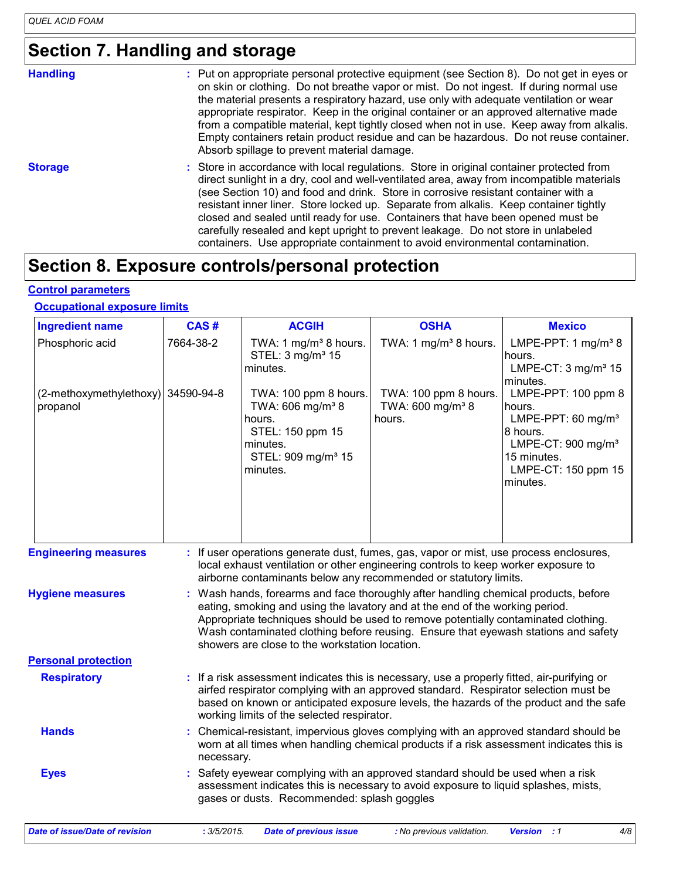## **Section 7. Handling and storage**

| <b>Handling</b> | : Put on appropriate personal protective equipment (see Section 8). Do not get in eyes or<br>on skin or clothing. Do not breathe vapor or mist. Do not ingest. If during normal use<br>the material presents a respiratory hazard, use only with adequate ventilation or wear<br>appropriate respirator. Keep in the original container or an approved alternative made<br>from a compatible material, kept tightly closed when not in use. Keep away from alkalis.<br>Empty containers retain product residue and can be hazardous. Do not reuse container.<br>Absorb spillage to prevent material damage.                   |
|-----------------|-------------------------------------------------------------------------------------------------------------------------------------------------------------------------------------------------------------------------------------------------------------------------------------------------------------------------------------------------------------------------------------------------------------------------------------------------------------------------------------------------------------------------------------------------------------------------------------------------------------------------------|
| <b>Storage</b>  | : Store in accordance with local regulations. Store in original container protected from<br>direct sunlight in a dry, cool and well-ventilated area, away from incompatible materials<br>(see Section 10) and food and drink. Store in corrosive resistant container with a<br>resistant inner liner. Store locked up. Separate from alkalis. Keep container tightly<br>closed and sealed until ready for use. Containers that have been opened must be<br>carefully resealed and kept upright to prevent leakage. Do not store in unlabeled<br>containers. Use appropriate containment to avoid environmental contamination. |

## **Section 8. Exposure controls/personal protection**

#### **Control parameters**

#### **Occupational exposure limits**

| <b>Ingredient name</b>                         | CAS#        | <b>ACGIH</b>                                                                                                                                  | <b>OSHA</b>                                                                                                                                                                                                                                                                                                                                     | <b>Mexico</b>                                                                                                                                                    |
|------------------------------------------------|-------------|-----------------------------------------------------------------------------------------------------------------------------------------------|-------------------------------------------------------------------------------------------------------------------------------------------------------------------------------------------------------------------------------------------------------------------------------------------------------------------------------------------------|------------------------------------------------------------------------------------------------------------------------------------------------------------------|
| Phosphoric acid                                | 7664-38-2   | TWA: 1 mg/m <sup>3</sup> 8 hours.<br>STEL: 3 mg/m <sup>3</sup> 15<br>minutes.                                                                 | TWA: 1 mg/m <sup>3</sup> 8 hours.                                                                                                                                                                                                                                                                                                               | LMPE-PPT: 1 $mg/m^3$ 8<br>hours.<br>LMPE-CT: $3 \text{ mg/m}^3$ 15<br>minutes.                                                                                   |
| (2-methoxymethylethoxy) 34590-94-8<br>propanol |             | TWA: 100 ppm 8 hours.<br>TWA: 606 mg/m <sup>3</sup> 8<br>hours.<br>STEL: 150 ppm 15<br>minutes.<br>STEL: 909 mg/m <sup>3</sup> 15<br>minutes. | TWA: 100 ppm 8 hours.<br>TWA: 600 mg/m <sup>3</sup> 8<br>hours.                                                                                                                                                                                                                                                                                 | LMPE-PPT: 100 ppm 8<br>hours.<br>LMPE-PPT: 60 mg/m <sup>3</sup><br>18 hours.<br>LMPE-CT: 900 mg/m <sup>3</sup><br>15 minutes.<br>LMPE-CT: 150 ppm 15<br>minutes. |
| <b>Engineering measures</b>                    |             |                                                                                                                                               | : If user operations generate dust, fumes, gas, vapor or mist, use process enclosures,<br>local exhaust ventilation or other engineering controls to keep worker exposure to<br>airborne contaminants below any recommended or statutory limits.                                                                                                |                                                                                                                                                                  |
| <b>Hygiene measures</b>                        |             | showers are close to the workstation location.                                                                                                | : Wash hands, forearms and face thoroughly after handling chemical products, before<br>eating, smoking and using the lavatory and at the end of the working period.<br>Appropriate techniques should be used to remove potentially contaminated clothing.<br>Wash contaminated clothing before reusing. Ensure that eyewash stations and safety |                                                                                                                                                                  |
| <b>Personal protection</b>                     |             |                                                                                                                                               |                                                                                                                                                                                                                                                                                                                                                 |                                                                                                                                                                  |
| <b>Respiratory</b>                             |             | working limits of the selected respirator.                                                                                                    | : If a risk assessment indicates this is necessary, use a properly fitted, air-purifying or<br>airfed respirator complying with an approved standard. Respirator selection must be<br>based on known or anticipated exposure levels, the hazards of the product and the safe                                                                    |                                                                                                                                                                  |
| <b>Hands</b>                                   | necessary.  |                                                                                                                                               | Chemical-resistant, impervious gloves complying with an approved standard should be<br>worn at all times when handling chemical products if a risk assessment indicates this is                                                                                                                                                                 |                                                                                                                                                                  |
| <b>Eyes</b>                                    |             | gases or dusts. Recommended: splash goggles                                                                                                   | Safety eyewear complying with an approved standard should be used when a risk<br>assessment indicates this is necessary to avoid exposure to liquid splashes, mists,                                                                                                                                                                            |                                                                                                                                                                  |
| Date of issue/Date of revision                 | : 3/5/2015. | <b>Date of previous issue</b>                                                                                                                 | : No previous validation.                                                                                                                                                                                                                                                                                                                       | 4/8<br><b>Version</b><br>$\cdot$ :1                                                                                                                              |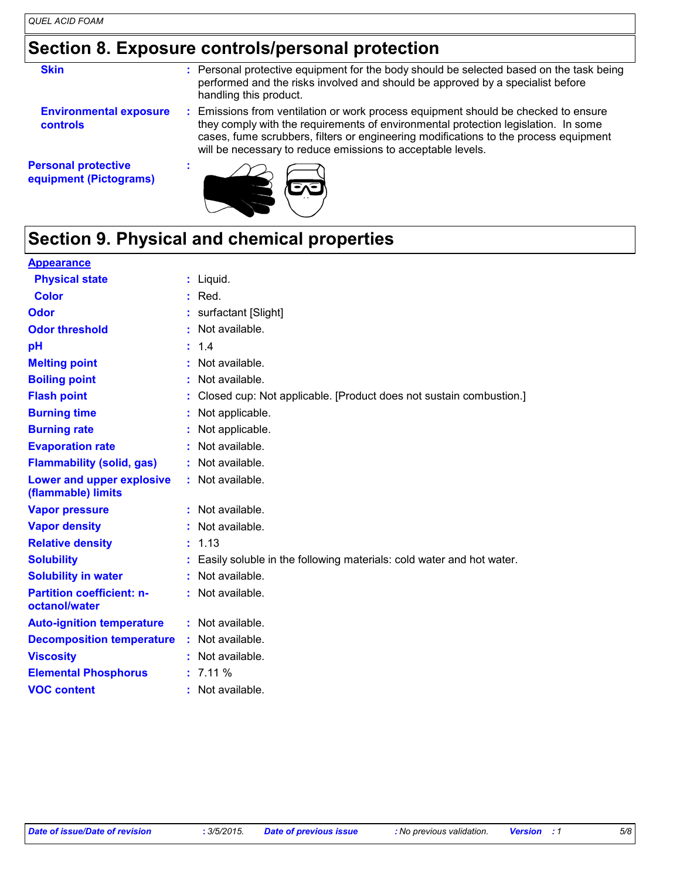## **Section 8. Exposure controls/personal protection**

| <b>Skin</b>                                          | : Personal protective equipment for the body should be selected based on the task being<br>performed and the risks involved and should be approved by a specialist before<br>handling this product.                                                                                                                             |
|------------------------------------------------------|---------------------------------------------------------------------------------------------------------------------------------------------------------------------------------------------------------------------------------------------------------------------------------------------------------------------------------|
| <b>Environmental exposure</b><br><b>controls</b>     | : Emissions from ventilation or work process equipment should be checked to ensure<br>they comply with the requirements of environmental protection legislation. In some<br>cases, fume scrubbers, filters or engineering modifications to the process equipment<br>will be necessary to reduce emissions to acceptable levels. |
| <b>Personal protective</b><br>equipment (Pictograms) |                                                                                                                                                                                                                                                                                                                                 |

## **Section 9. Physical and chemical properties**

#### **Appearance**

| <b>Physical state</b>                             | $:$ Liquid.                                                          |
|---------------------------------------------------|----------------------------------------------------------------------|
| <b>Color</b>                                      | $:$ Red.                                                             |
| Odor                                              | surfactant [Slight]                                                  |
| <b>Odor threshold</b>                             | Not available.                                                       |
| рH                                                | 1.4                                                                  |
| <b>Melting point</b>                              | Not available.                                                       |
| <b>Boiling point</b>                              | Not available.                                                       |
| <b>Flash point</b>                                | Closed cup: Not applicable. [Product does not sustain combustion.]   |
| <b>Burning time</b>                               | : Not applicable.                                                    |
| <b>Burning rate</b>                               | Not applicable.                                                      |
| <b>Evaporation rate</b>                           | Not available.                                                       |
| <b>Flammability (solid, gas)</b>                  | Not available.                                                       |
| Lower and upper explosive<br>(flammable) limits   | : Not available.                                                     |
| <b>Vapor pressure</b>                             | : Not available.                                                     |
| <b>Vapor density</b>                              | : Not available.                                                     |
| <b>Relative density</b>                           | : 1.13                                                               |
| <b>Solubility</b>                                 | Easily soluble in the following materials: cold water and hot water. |
| <b>Solubility in water</b>                        | Not available.                                                       |
| <b>Partition coefficient: n-</b><br>octanol/water | : Not available.                                                     |
| <b>Auto-ignition temperature</b>                  | : Not available.                                                     |
| <b>Decomposition temperature</b>                  | : Not available.                                                     |
| <b>Viscosity</b>                                  | Not available.                                                       |
| <b>Elemental Phosphorus</b>                       | : 7.11%                                                              |
| <b>VOC content</b>                                | $:$ Not available.                                                   |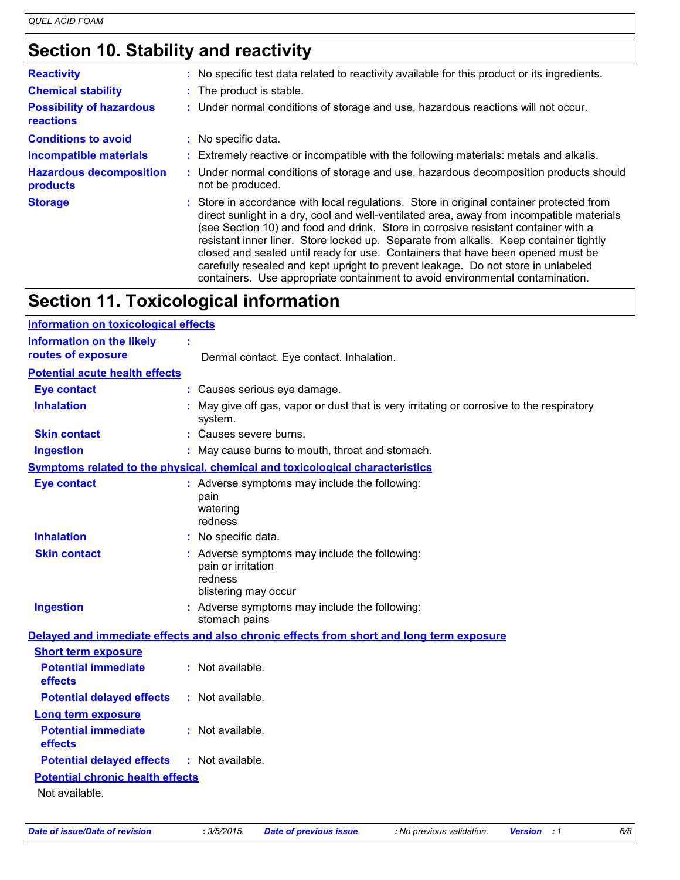## **Section 10. Stability and reactivity**

| <b>Reactivity</b>                            | : No specific test data related to reactivity available for this product or its ingredients.                                                                                                                                                                                                                                                                                                                                                                                                                                                                                                                                  |
|----------------------------------------------|-------------------------------------------------------------------------------------------------------------------------------------------------------------------------------------------------------------------------------------------------------------------------------------------------------------------------------------------------------------------------------------------------------------------------------------------------------------------------------------------------------------------------------------------------------------------------------------------------------------------------------|
| <b>Chemical stability</b>                    | : The product is stable.                                                                                                                                                                                                                                                                                                                                                                                                                                                                                                                                                                                                      |
| <b>Possibility of hazardous</b><br>reactions | : Under normal conditions of storage and use, hazardous reactions will not occur.                                                                                                                                                                                                                                                                                                                                                                                                                                                                                                                                             |
| <b>Conditions to avoid</b>                   | : No specific data.                                                                                                                                                                                                                                                                                                                                                                                                                                                                                                                                                                                                           |
| <b>Incompatible materials</b>                | : Extremely reactive or incompatible with the following materials: metals and alkalis.                                                                                                                                                                                                                                                                                                                                                                                                                                                                                                                                        |
| <b>Hazardous decomposition</b><br>products   | : Under normal conditions of storage and use, hazardous decomposition products should<br>not be produced.                                                                                                                                                                                                                                                                                                                                                                                                                                                                                                                     |
| <b>Storage</b>                               | : Store in accordance with local regulations. Store in original container protected from<br>direct sunlight in a dry, cool and well-ventilated area, away from incompatible materials<br>(see Section 10) and food and drink. Store in corrosive resistant container with a<br>resistant inner liner. Store locked up. Separate from alkalis. Keep container tightly<br>closed and sealed until ready for use. Containers that have been opened must be<br>carefully resealed and kept upright to prevent leakage. Do not store in unlabeled<br>containers. Use appropriate containment to avoid environmental contamination. |

## **Section 11. Toxicological information**

| <b>Information on toxicological effects</b>            |                                                                                                        |  |  |  |  |
|--------------------------------------------------------|--------------------------------------------------------------------------------------------------------|--|--|--|--|
| <b>Information on the likely</b><br>routes of exposure | Dermal contact. Eye contact. Inhalation.                                                               |  |  |  |  |
| <b>Potential acute health effects</b>                  |                                                                                                        |  |  |  |  |
| <b>Eye contact</b>                                     | : Causes serious eye damage.                                                                           |  |  |  |  |
| <b>Inhalation</b>                                      | May give off gas, vapor or dust that is very irritating or corrosive to the respiratory<br>system.     |  |  |  |  |
| <b>Skin contact</b>                                    | : Causes severe burns.                                                                                 |  |  |  |  |
| <b>Ingestion</b>                                       | : May cause burns to mouth, throat and stomach.                                                        |  |  |  |  |
|                                                        | Symptoms related to the physical, chemical and toxicological characteristics                           |  |  |  |  |
| <b>Eye contact</b>                                     | : Adverse symptoms may include the following:<br>pain<br>watering<br>redness                           |  |  |  |  |
| <b>Inhalation</b>                                      | : No specific data.                                                                                    |  |  |  |  |
| <b>Skin contact</b>                                    | : Adverse symptoms may include the following:<br>pain or irritation<br>redness<br>blistering may occur |  |  |  |  |
| <b>Ingestion</b>                                       | : Adverse symptoms may include the following:<br>stomach pains                                         |  |  |  |  |
|                                                        | Delayed and immediate effects and also chronic effects from short and long term exposure               |  |  |  |  |
| <b>Short term exposure</b>                             |                                                                                                        |  |  |  |  |
| <b>Potential immediate</b><br>effects                  | : Not available.                                                                                       |  |  |  |  |
| <b>Potential delayed effects</b>                       | : Not available.                                                                                       |  |  |  |  |
| <b>Long term exposure</b>                              |                                                                                                        |  |  |  |  |
| <b>Potential immediate</b><br>effects                  | : Not available.                                                                                       |  |  |  |  |
| <b>Potential delayed effects</b>                       | : Not available.                                                                                       |  |  |  |  |
| <b>Potential chronic health effects</b>                |                                                                                                        |  |  |  |  |
| Not available.                                         |                                                                                                        |  |  |  |  |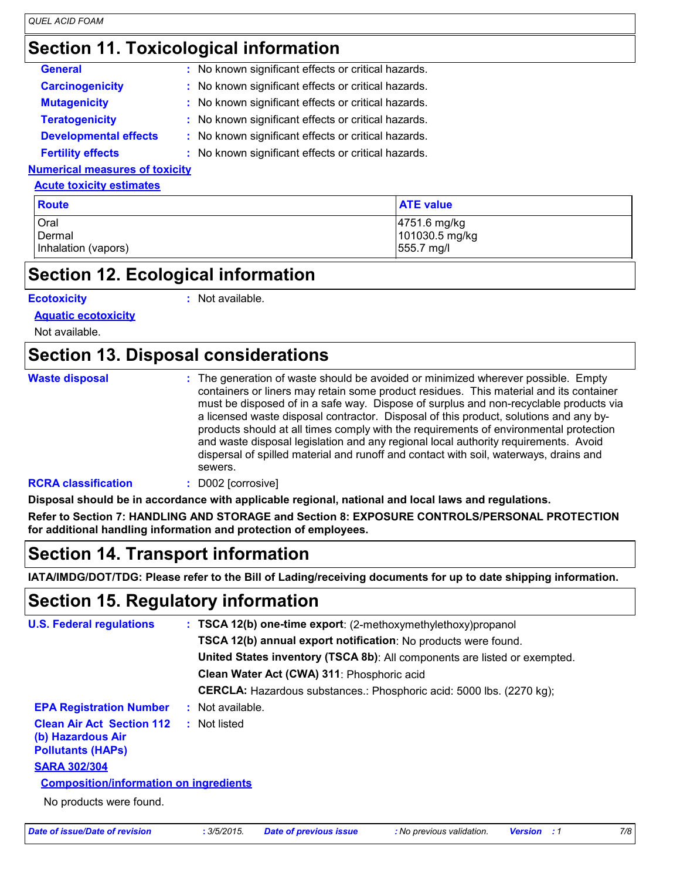## **Section 11. Toxicological information**

| <b>General</b>                  | : No known significant effects or critical hazards. |  |  |  |
|---------------------------------|-----------------------------------------------------|--|--|--|
| <b>Carcinogenicity</b>          | : No known significant effects or critical hazards. |  |  |  |
| <b>Mutagenicity</b>             | : No known significant effects or critical hazards. |  |  |  |
| <b>Teratogenicity</b>           | : No known significant effects or critical hazards. |  |  |  |
| <b>Developmental effects</b>    | : No known significant effects or critical hazards. |  |  |  |
| <b>Fertility effects</b>        | : No known significant effects or critical hazards. |  |  |  |
| lumariaal maaayyaa af taviaitu. |                                                     |  |  |  |

#### **Numerical measures of toxicity**

#### **Acute toxicity estimates**

| <b>Route</b>        | <b>ATE value</b> |
|---------------------|------------------|
| Oral                | 4751.6 mg/kg     |
| Dermal              | 101030.5 mg/kg   |
| Inhalation (vapors) | 555.7 mg/l       |

### **Section 12. Ecological information**

#### **Ecotoxicity :**

: Not available.

**Aquatic ecotoxicity**

Not available.

### **Section 13. Disposal considerations**

| <b>Waste disposal</b>      | : The generation of waste should be avoided or minimized wherever possible. Empty<br>containers or liners may retain some product residues. This material and its container<br>must be disposed of in a safe way. Dispose of surplus and non-recyclable products via<br>a licensed waste disposal contractor. Disposal of this product, solutions and any by-<br>products should at all times comply with the requirements of environmental protection<br>and waste disposal legislation and any regional local authority requirements. Avoid<br>dispersal of spilled material and runoff and contact with soil, waterways, drains and<br>sewers. |
|----------------------------|---------------------------------------------------------------------------------------------------------------------------------------------------------------------------------------------------------------------------------------------------------------------------------------------------------------------------------------------------------------------------------------------------------------------------------------------------------------------------------------------------------------------------------------------------------------------------------------------------------------------------------------------------|
| <b>RCRA</b> elaceification | D002 <i><u>Corrosive</u>l</i>                                                                                                                                                                                                                                                                                                                                                                                                                                                                                                                                                                                                                     |

#### **RCRA classification :** D002 [corrosive]

**Disposal should be in accordance with applicable regional, national and local laws and regulations.**

**Refer to Section 7: HANDLING AND STORAGE and Section 8: EXPOSURE CONTROLS/PERSONAL PROTECTION for additional handling information and protection of employees.**

### **Section 14. Transport information**

**IATA/IMDG/DOT/TDG: Please refer to the Bill of Lading/receiving documents for up to date shipping information.**

### **Section 15. Regulatory information**

| <b>U.S. Federal regulations</b>                                                   | : TSCA 12(b) one-time export: (2-methoxymethylethoxy) propanol              |
|-----------------------------------------------------------------------------------|-----------------------------------------------------------------------------|
|                                                                                   | TSCA 12(b) annual export notification: No products were found.              |
|                                                                                   | United States inventory (TSCA 8b): All components are listed or exempted.   |
|                                                                                   | Clean Water Act (CWA) 311: Phosphoric acid                                  |
|                                                                                   | <b>CERCLA:</b> Hazardous substances.: Phosphoric acid: 5000 lbs. (2270 kg); |
| <b>EPA Registration Number</b>                                                    | : Not available.                                                            |
| <b>Clean Air Act Section 112</b><br>(b) Hazardous Air<br><b>Pollutants (HAPS)</b> | : Not listed                                                                |
| <b>SARA 302/304</b>                                                               |                                                                             |
| <b>Composition/information on ingredients</b>                                     |                                                                             |
| No products were found.                                                           |                                                                             |